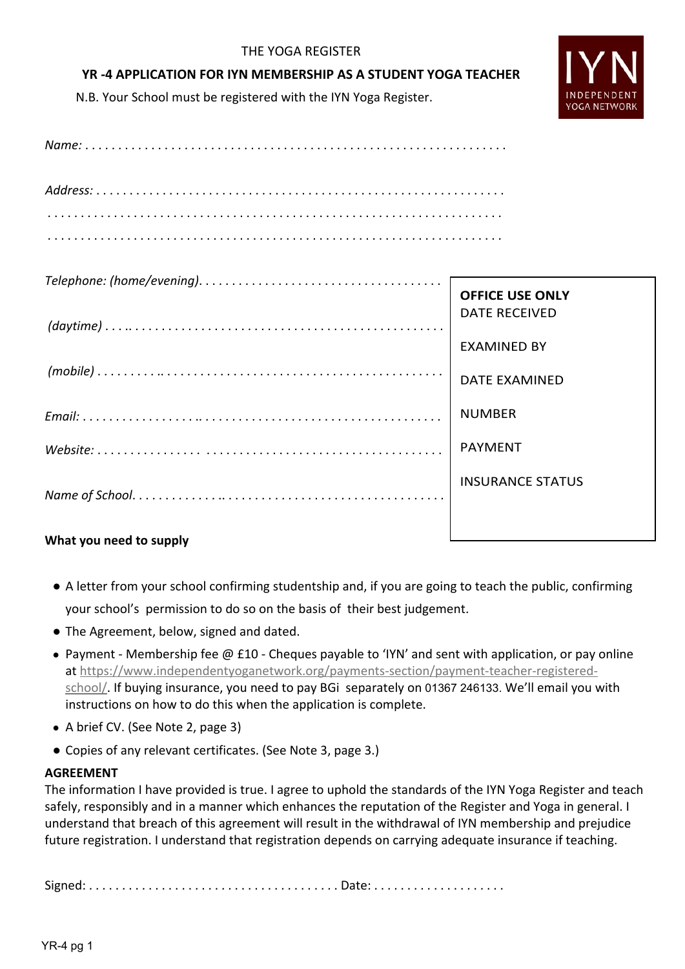# THE YOGA REGISTER

# **YR -4 APPLICATION FOR IYN MEMBERSHIP AS A STUDENT YOGA TEACHER**

N.B. Your School must be registered with the IYN Yoga Register.



. . . . . . . . . . . . . . . . . . . . . . . . . . . . . . . . . . . . . . . . . . . . . . . . . . . . . . . . . . . . . . . . . . . . .

| <b>OFFICE USE ONLY</b>  |
|-------------------------|
| DATE RECEIVED           |
| EXAMINED BY             |
| <b>DATE EXAMINED</b>    |
| <b>NUMBER</b>           |
| PAYMENT                 |
| <b>INSURANCE STATUS</b> |
|                         |

# **What you need to supply**

- A letter from your school confirming studentship and, if you are going to teach the public, confirming your school's permission to do so on the basis of their best judgement.
- The Agreement, below, signed and dated.
- Payment Membership fee @ £10 Cheques payable to 'IYN' and sent with application, or pay online at [https://www.independentyoganetwork.org/payments-section/payment-teacher-registered](https://www.independentyoganetwork.org/payments-section/payment-teacher-registered-school/)[school/](https://www.independentyoganetwork.org/payments-section/payment-teacher-registered-school/). If buying insurance, you need to pay BGi separately on 01367 246133. We'll email you with instructions on how to do this when the application is complete.
- A brief CV. (See Note 2, page 3)
- Copies of any relevant certificates. (See Note 3, page 3.)

# **AGREEMENT**

The information I have provided is true. I agree to uphold the standards of the IYN Yoga Register and teach safely, responsibly and in a manner which enhances the reputation of the Register and Yoga in general. I understand that breach of this agreement will result in the withdrawal of IYN membership and prejudice future registration. I understand that registration depends on carrying adequate insurance if teaching.

Signed: . . . . . . . . . . . . . . . . . . . . . . . . . . . . . . . . . . . . . . Date: . . . . . . . . . . . . . . . . . . . .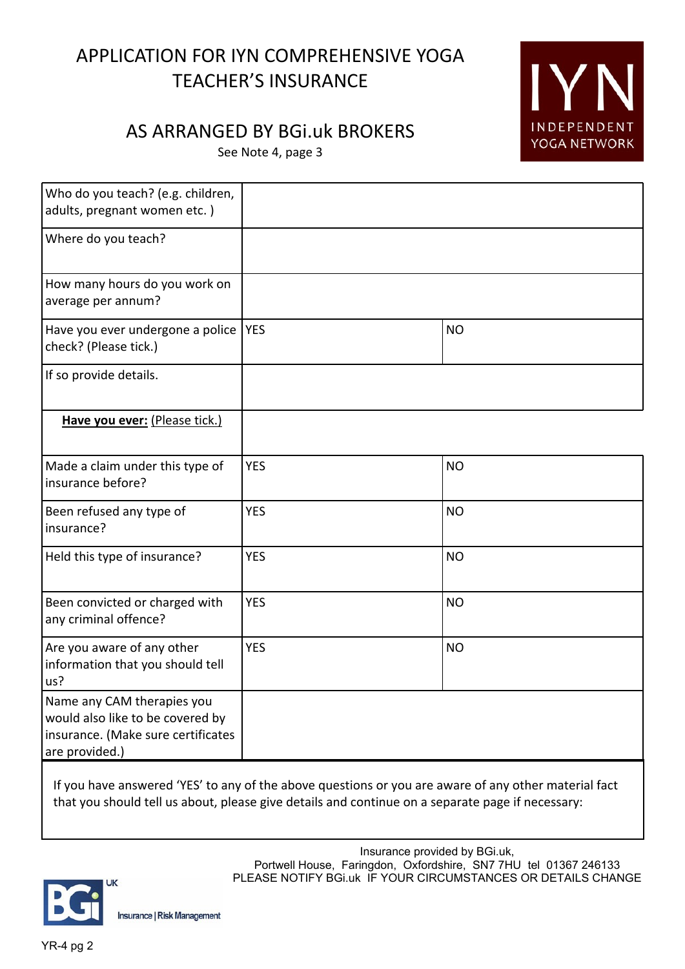# APPLICATION FOR IYN COMPREHENSIVE YOGA TEACHER'S INSURANCE

# IYI INDEPENDENT YOGA NETWORK

# AS ARRANGED BY BGi.uk BROKERS

See Note 4, page 3

| Who do you teach? (e.g. children,<br>adults, pregnant women etc.)                                                      |            |           |
|------------------------------------------------------------------------------------------------------------------------|------------|-----------|
| Where do you teach?                                                                                                    |            |           |
| How many hours do you work on<br>average per annum?                                                                    |            |           |
| Have you ever undergone a police  YES<br>check? (Please tick.)                                                         |            | <b>NO</b> |
| If so provide details.                                                                                                 |            |           |
| Have you ever: (Please tick.)                                                                                          |            |           |
| Made a claim under this type of<br>insurance before?                                                                   | <b>YES</b> | <b>NO</b> |
| Been refused any type of<br>insurance?                                                                                 | <b>YES</b> | <b>NO</b> |
| Held this type of insurance?                                                                                           | <b>YES</b> | <b>NO</b> |
| Been convicted or charged with<br>any criminal offence?                                                                | <b>YES</b> | <b>NO</b> |
| Are you aware of any other<br>information that you should tell<br>us?                                                  | <b>YES</b> | <b>NO</b> |
| Name any CAM therapies you<br>would also like to be covered by<br>insurance. (Make sure certificates<br>are provided.) |            |           |

If you have answered 'YES' to any of the above questions or you are aware of any other material fact that you should tell us about, please give details and continue on a separate page if necessary:



Insurance | Risk Management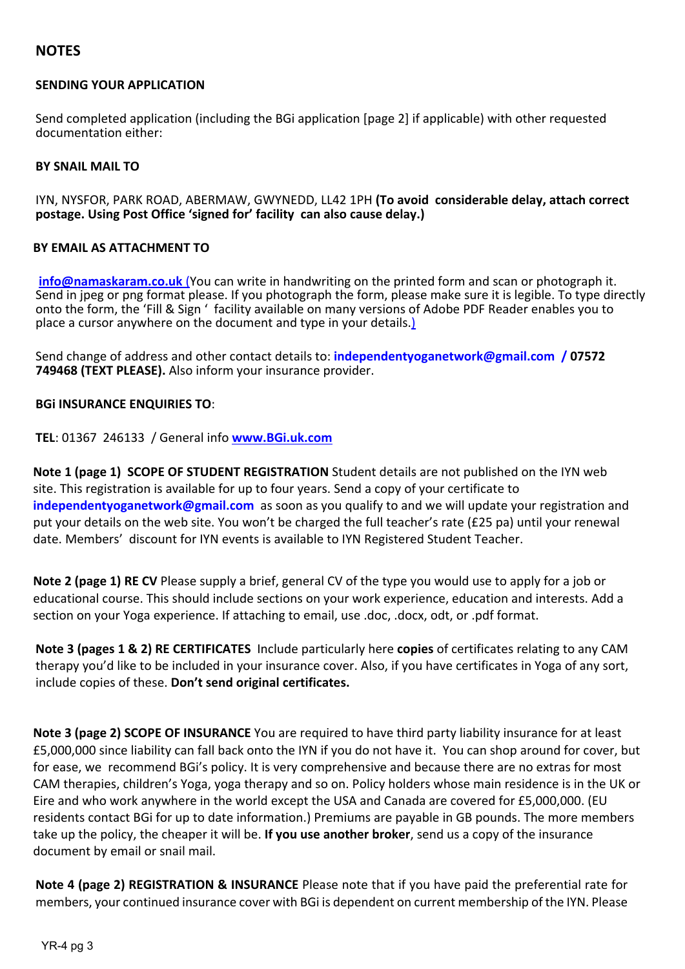# **NOTES**

### **SENDING YOUR APPLICATION**

Send completed application (including the BGi application [page 2] if applicable) with other requested documentation either:

### **BY SNAIL MAIL TO**

IYN, NYSFOR, PARK ROAD, ABERMAW, GWYNEDD, LL42 1PH **(To avoid considerable delay, attach correct postage. Using Post Office 'signed for' facility can also cause delay.)**

### **BY EMAIL AS ATTACHMENT TO**

**info@namaskaram.co.uk** (You can write in handwriting on the printed form and scan or photograph it. Send in jpeg or png format please. If you photograph the form, please make sure it is legible. To type directly onto the form, the 'Fill & Sign ' facility available on many versions of Adobe PDF Reader enables you to place a cursor anywhere on the document and type in your details.)

Send change of address and other contact details to: **independentyoganetwork@gmail.com / 07572 749468 (TEXT PLEASE).** Also inform your insurance provider.

### **BGi INSURANCE ENQUIRIES TO**:

**TEL**: 01367 246133 / General info **www.BGi.uk.com**

**Note 1 (page 1) SCOPE OF STUDENT REGISTRATION** Student details are not published on the IYN web site. This registration is available for up to four years. Send a copy of your certificate to **independentyoganetwork@gmail.com** as soon as you qualify to and we will update your registration and put your details on the web site. You won't be charged the full teacher's rate (£25 pa) until your renewal date. Members' discount for IYN events is available to IYN Registered Student Teacher.

**Note 2 (page 1) RE CV** Please supply a brief, general CV of the type you would use to apply for a job or educational course. This should include sections on your work experience, education and interests. Add a section on your Yoga experience. If attaching to email, use .doc, .docx, odt, or .pdf format.

**Note 3 (pages 1 & 2) RE CERTIFICATES** Include particularly here **copies** of certificates relating to any CAM therapy you'd like to be included in your insurance cover. Also, if you have certificates in Yoga of any sort, include copies of these. **Don't send original certificates.**

**Note 3 (page 2) SCOPE OF INSURANCE** You are required to have third party liability insurance for at least £5,000,000 since liability can fall back onto the IYN if you do not have it. You can shop around for cover, but for ease, we recommend BGi's policy. It is very comprehensive and because there are no extras for most CAM therapies, children's Yoga, yoga therapy and so on. Policy holders whose main residence is in the UK or Eire and who work anywhere in the world except the USA and Canada are covered for £5,000,000. (EU residents contact BGi for up to date information.) Premiums are payable in GB pounds. The more members take up the policy, the cheaper it will be. **If you use another broker**, send us a copy of the insurance document by email or snail mail.

**Note 4 (page 2) REGISTRATION & INSURANCE** Please note that if you have paid the preferential rate for members, your continued insurance cover with BGi is dependent on current membership of the IYN. Please